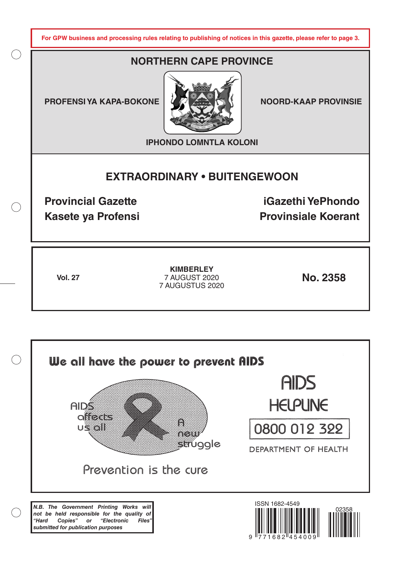**For GPW business and processing rules relating to publishing of notices in this gazette, please refer to page 3.**

# **NORTHERN CAPE PROVINCE**

**PROFENSI YA KAPA-BOKONE | 4 ZA XAN KANALI NOORD-KAAP PROVINSIE** 



**IPHONDO LOMNTLA KOLONI**

# **EXTRAORDINARY • BUITENGEWOON**

**Provincial Gazette iGazethi YePhondo Kasete ya Profensi Provinsiale Koerant** 

**Vol. 27 No. 2358** 7 AUGUST 2020 **KIMBERLEY** 7 AUGUSTUS 2020

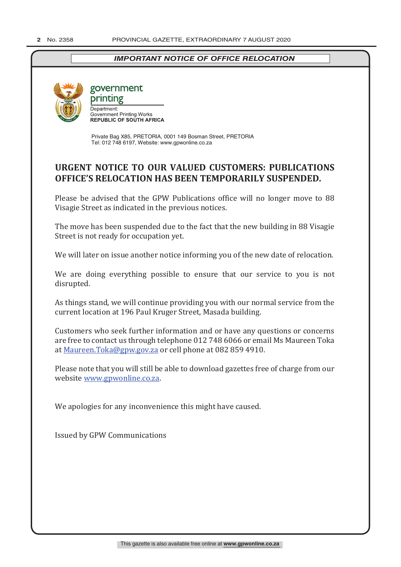## *IMPORTANT NOTICE OF OFFICE RELOCATION*



## government printing Department: Department.<br>Government Printing Works<br>REPUBLIC OF SOUTH AFRICA

Private Bag X85, PRETORIA, 0001 149 Bosman Street, PRETORIA Tel: 012 748 6197, Website: www.gpwonline.co.za

# **URGENT NOTICE TO OUR VALUED CUSTOMERS: PUBLICATIONS OFFICE'S RELOCATION HAS BEEN TEMPORARILY SUSPENDED.**

Please be advised that the GPW Publications office will no longer move to 88 Visagie Street as indicated in the previous notices.

The move has been suspended due to the fact that the new building in 88 Visagie Street is not ready for occupation yet.

We will later on issue another notice informing you of the new date of relocation.

We are doing everything possible to ensure that our service to you is not disrupted.

As things stand, we will continue providing you with our normal service from the current location at 196 Paul Kruger Street, Masada building.

Customers who seek further information and or have any questions or concerns are free to contact us through telephone 012 748 6066 or email Ms Maureen Toka at Maureen.Toka@gpw.gov.za or cell phone at 082 859 4910.

Please note that you will still be able to download gazettes free of charge from our website www.gpwonline.co.za.

We apologies for any inconvenience this might have caused.

Issued by GPW Communications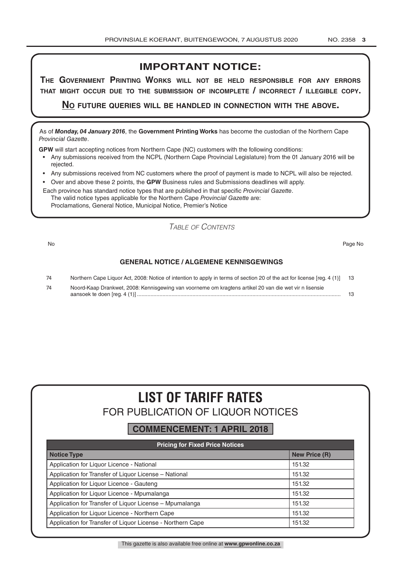# **IMPORTANT NOTICE:**

**The GovernmenT PrinTinG Works Will noT be held resPonsible for any errors ThaT miGhT occur due To The submission of incomPleTe / incorrecT / illeGible coPy.**

**no fuTure queries Will be handled in connecTion WiTh The above.**

As of *Monday, 04 January 2016*, the **Government Printing Works** has become the custodian of the Northern Cape *Provincial Gazette*.

**GPW** will start accepting notices from Northern Cape (NC) customers with the following conditions:

- Any submissions received from the NCPL (Northern Cape Provincial Legislature) from the 01 January 2016 will be rejected.
- Any submissions received from NC customers where the proof of payment is made to NCPL will also be rejected.
- Over and above these 2 points, the **GPW** Business rules and Submissions deadlines will apply.

Each province has standard notice types that are published in that specific *Provincial Gazette*. The valid notice types applicable for the Northern Cape *Provincial Gazette* are: Proclamations, General Notice, Municipal Notice, Premier's Notice

*Table of Contents*

No Page No

#### **GENERAL NOTICE / ALGEMENE KENNISGEWINGS**

| 74 | Northern Cape Liquor Act, 2008: Notice of intention to apply in terms of section 20 of the act for license [reg. 4 (1)] 13 |  |
|----|----------------------------------------------------------------------------------------------------------------------------|--|
| 74 | Noord-Kaap Drankwet, 2008: Kennisgewing van voorneme om kragtens artikel 20 van die wet vir n lisensie                     |  |
|    |                                                                                                                            |  |

# **LIST OF TARIFF RATES** FOR PUBLICATION OF LIQUOR NOTICES

## **COMMENCEMENT: 1 APRIL 2018**

| <b>Pricing for Fixed Price Notices</b>                     |                      |  |  |  |
|------------------------------------------------------------|----------------------|--|--|--|
| <b>Notice Type</b>                                         | <b>New Price (R)</b> |  |  |  |
| Application for Liquor Licence - National                  | 151.32               |  |  |  |
| Application for Transfer of Liquor License - National      | 151.32               |  |  |  |
| Application for Liquor Licence - Gauteng                   | 151.32               |  |  |  |
| Application for Liguor Licence - Mpumalanga                | 151.32               |  |  |  |
| Application for Transfer of Liquor License - Mpumalanga    | 151.32               |  |  |  |
| Application for Liquor Licence - Northern Cape             | 151.32               |  |  |  |
| Application for Transfer of Liquor License - Northern Cape | 151.32               |  |  |  |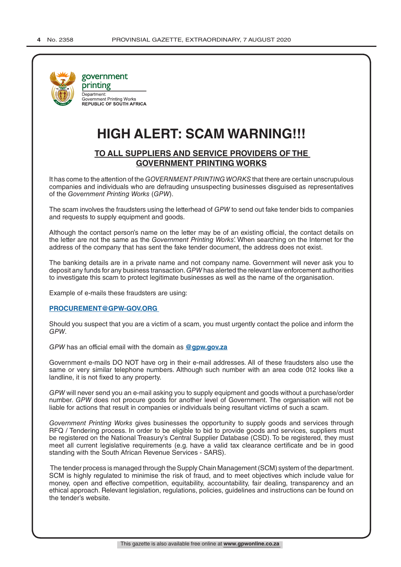

# **HIGH ALERT: SCAM WARNING!!!**

## **TO ALL SUPPLIERS AND SERVICE PROVIDERS OF THE GOVERNMENT PRINTING WORKS**

It has come to the attention of the *GOVERNMENT PRINTING WORKS* that there are certain unscrupulous companies and individuals who are defrauding unsuspecting businesses disguised as representatives of the *Government Printing Works* (*GPW*).

The scam involves the fraudsters using the letterhead of *GPW* to send out fake tender bids to companies and requests to supply equipment and goods.

Although the contact person's name on the letter may be of an existing official, the contact details on the letter are not the same as the *Government Printing Works*'. When searching on the Internet for the address of the company that has sent the fake tender document, the address does not exist.

The banking details are in a private name and not company name. Government will never ask you to deposit any funds for any business transaction. *GPW* has alerted the relevant law enforcement authorities to investigate this scam to protect legitimate businesses as well as the name of the organisation.

Example of e-mails these fraudsters are using:

#### **PROCUREMENT@GPW-GOV.ORG**

Should you suspect that you are a victim of a scam, you must urgently contact the police and inform the *GPW*.

*GPW* has an official email with the domain as **@gpw.gov.za**

Government e-mails DO NOT have org in their e-mail addresses. All of these fraudsters also use the same or very similar telephone numbers. Although such number with an area code 012 looks like a landline, it is not fixed to any property.

*GPW* will never send you an e-mail asking you to supply equipment and goods without a purchase/order number. *GPW* does not procure goods for another level of Government. The organisation will not be liable for actions that result in companies or individuals being resultant victims of such a scam.

*Government Printing Works* gives businesses the opportunity to supply goods and services through RFQ / Tendering process. In order to be eligible to bid to provide goods and services, suppliers must be registered on the National Treasury's Central Supplier Database (CSD). To be registered, they must meet all current legislative requirements (e.g. have a valid tax clearance certificate and be in good standing with the South African Revenue Services - SARS).

 The tender process is managed through the Supply Chain Management (SCM) system of the department. SCM is highly regulated to minimise the risk of fraud, and to meet objectives which include value for money, open and effective competition, equitability, accountability, fair dealing, transparency and an ethical approach. Relevant legislation, regulations, policies, guidelines and instructions can be found on the tender's website.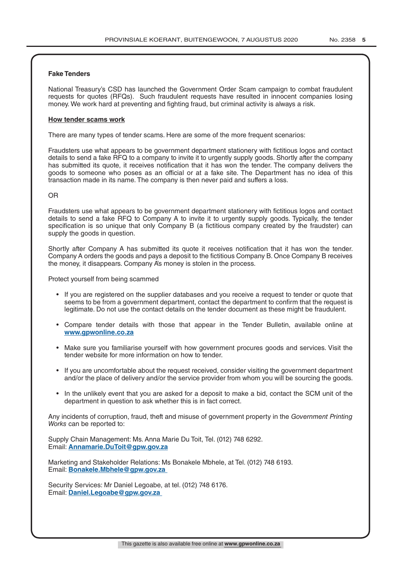#### **Fake Tenders**

National Treasury's CSD has launched the Government Order Scam campaign to combat fraudulent requests for quotes (RFQs). Such fraudulent requests have resulted in innocent companies losing money. We work hard at preventing and fighting fraud, but criminal activity is always a risk.

#### **How tender scams work**

There are many types of tender scams. Here are some of the more frequent scenarios:

Fraudsters use what appears to be government department stationery with fictitious logos and contact details to send a fake RFQ to a company to invite it to urgently supply goods. Shortly after the company has submitted its quote, it receives notification that it has won the tender. The company delivers the goods to someone who poses as an official or at a fake site. The Department has no idea of this transaction made in its name. The company is then never paid and suffers a loss.

#### OR

Fraudsters use what appears to be government department stationery with fictitious logos and contact details to send a fake RFQ to Company A to invite it to urgently supply goods. Typically, the tender specification is so unique that only Company B (a fictitious company created by the fraudster) can supply the goods in question.

Shortly after Company A has submitted its quote it receives notification that it has won the tender. Company A orders the goods and pays a deposit to the fictitious Company B. Once Company B receives the money, it disappears. Company A's money is stolen in the process.

Protect yourself from being scammed

- If you are registered on the supplier databases and you receive a request to tender or quote that seems to be from a government department, contact the department to confirm that the request is legitimate. Do not use the contact details on the tender document as these might be fraudulent.
- Compare tender details with those that appear in the Tender Bulletin, available online at **www.gpwonline.co.za**
- Make sure you familiarise yourself with how government procures goods and services. Visit the tender website for more information on how to tender.
- If you are uncomfortable about the request received, consider visiting the government department and/or the place of delivery and/or the service provider from whom you will be sourcing the goods.
- In the unlikely event that you are asked for a deposit to make a bid, contact the SCM unit of the department in question to ask whether this is in fact correct.

Any incidents of corruption, fraud, theft and misuse of government property in the *Government Printing Works* can be reported to:

Supply Chain Management: Ms. Anna Marie Du Toit, Tel. (012) 748 6292. Email: **Annamarie.DuToit@gpw.gov.za**

Marketing and Stakeholder Relations: Ms Bonakele Mbhele, at Tel. (012) 748 6193. Email: **Bonakele.Mbhele@gpw.gov.za** 

Security Services: Mr Daniel Legoabe, at tel. (012) 748 6176. Email: **Daniel.Legoabe@gpw.gov.za**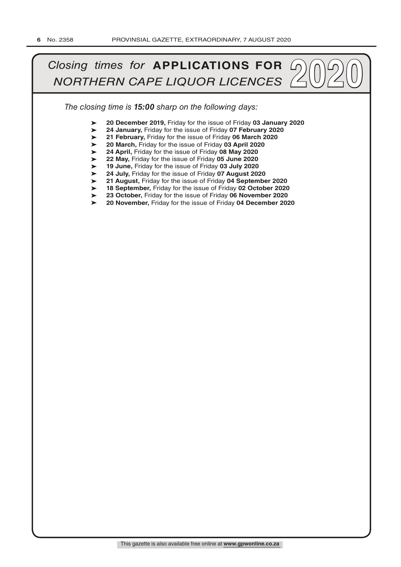# *Closing times for APPLICATIONS FOR*  $\bigcirc$   $\bigcirc$   $\bigcirc$   $\bigcirc$   $\bigcirc$   $\bigcirc$   $\bigcirc$   $\bigcirc$   $\bigcirc$   $\bigcirc$   $\bigcirc$   $\bigcirc$   $\bigcirc$   $\bigcirc$   $\bigcirc$   $\bigcirc$   $\bigcirc$   $\bigcirc$   $\bigcirc$   $\bigcirc$   $\bigcirc$   $\bigcirc$   $\bigcirc$   $\bigcirc$   $\bigcirc$   $\bigcirc$   $\bigcirc$   $\bigcirc$   $\bigcirc$   $\bigcirc$   $\bigcirc$

*The closing time is 15:00 sharp on the following days:*

- ➤ **20 December 2019,** Friday for the issue of Friday **03 January 2020**
- ➤ **24 January,** Friday for the issue of Friday **07 February 2020**
- ➤ **21 February,** Friday for the issue of Friday **06 March 2020**
- ➤ **20 March,** Friday for the issue of Friday **03 April 2020**
- ➤ **24 April,** Friday for the issue of Friday **08 May 2020**
- ➤ **22 May,** Friday for the issue of Friday **05 June 2020**
- ➤ **19 June,** Friday for the issue of Friday **03 July 2020**
- ➤ **24 July,** Friday for the issue of Friday **07 August 2020**
- ➤ **21 August,** Friday for the issue of Friday **04 September 2020**
- ➤ **18 September,** Friday for the issue of Friday **02 October 2020**
- ➤ **23 October,** Friday for the issue of Friday **06 November 2020**
- $\blacktriangleright$ **20 November,** Friday for the issue of Friday **04 December 2020**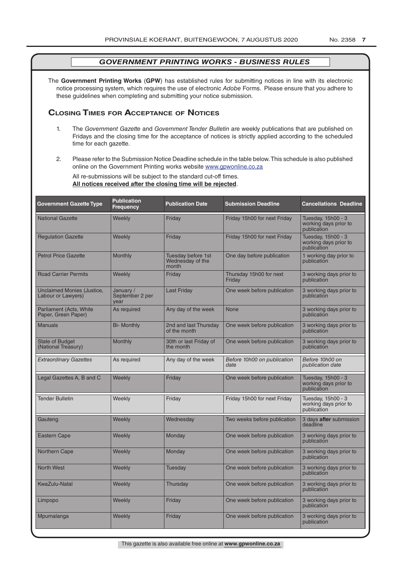The **Government Printing Works** (**GPW**) has established rules for submitting notices in line with its electronic notice processing system, which requires the use of electronic *Adobe* Forms. Please ensure that you adhere to these guidelines when completing and submitting your notice submission.

#### **Closing Times for ACCepTAnCe of noTiCes**

- 1. The *Government Gazette* and *Government Tender Bulletin* are weekly publications that are published on Fridays and the closing time for the acceptance of notices is strictly applied according to the scheduled time for each gazette.
- 2. Please refer to the Submission Notice Deadline schedule in the table below. This schedule is also published online on the Government Printing works website www.gpwonline.co.za

All re-submissions will be subject to the standard cut-off times. **All notices received after the closing time will be rejected**.

| <b>Government Gazette Type</b>                   | <b>Publication</b><br><b>Frequency</b> | <b>Publication Date</b>                         | <b>Submission Deadline</b>          | <b>Cancellations Deadline</b>                              |
|--------------------------------------------------|----------------------------------------|-------------------------------------------------|-------------------------------------|------------------------------------------------------------|
| <b>National Gazette</b>                          | Weekly                                 | Friday                                          | Friday 15h00 for next Friday        | Tuesday, 15h00 - 3<br>working days prior to<br>publication |
| <b>Regulation Gazette</b>                        | Weekly                                 | Friday                                          | Friday 15h00 for next Friday        | Tuesday, 15h00 - 3<br>working days prior to<br>publication |
| <b>Petrol Price Gazette</b>                      | <b>Monthly</b>                         | Tuesday before 1st<br>Wednesday of the<br>month | One day before publication          | 1 working day prior to<br>publication                      |
| <b>Road Carrier Permits</b>                      | <b>Weekly</b>                          | Friday                                          | Thursday 15h00 for next<br>Friday   | 3 working days prior to<br>publication                     |
| Unclaimed Monies (Justice,<br>Labour or Lawyers) | January /<br>September 2 per<br>vear   | <b>Last Friday</b>                              | One week before publication         | 3 working days prior to<br>publication                     |
| Parliament (Acts, White<br>Paper, Green Paper)   | As required                            | Any day of the week                             | None                                | 3 working days prior to<br>publication                     |
| <b>Manuals</b>                                   | <b>Bi- Monthly</b>                     | 2nd and last Thursday<br>of the month           | One week before publication         | 3 working days prior to<br>publication                     |
| <b>State of Budget</b><br>(National Treasury)    | Monthly                                | 30th or last Friday of<br>the month             | One week before publication         | 3 working days prior to<br>publication                     |
| <b>Extraordinary Gazettes</b>                    | As required                            | Any day of the week                             | Before 10h00 on publication<br>date | Before 10h00 on<br>publication date                        |
| Legal Gazettes A, B and C                        | Weekly                                 | Friday                                          | One week before publication         | Tuesday, 15h00 - 3<br>working days prior to<br>publication |
| <b>Tender Bulletin</b>                           | Weekly                                 | Friday                                          | Friday 15h00 for next Friday        | Tuesday, 15h00 - 3<br>working days prior to<br>publication |
| Gauteng                                          | Weekly                                 | Wednesday                                       | Two weeks before publication        | 3 days after submission<br>deadline                        |
| <b>Eastern Cape</b>                              | Weekly                                 | Monday                                          | One week before publication         | 3 working days prior to<br>publication                     |
| <b>Northern Cape</b>                             | Weekly                                 | Monday                                          | One week before publication         | 3 working days prior to<br>publication                     |
| <b>North West</b>                                | Weekly                                 | Tuesday                                         | One week before publication         | 3 working days prior to<br>publication                     |
| <b>KwaZulu-Natal</b>                             | Weekly                                 | Thursday                                        | One week before publication         | 3 working days prior to<br>publication                     |
| Limpopo                                          | Weekly                                 | Friday                                          | One week before publication         | 3 working days prior to<br>publication                     |
| Mpumalanga                                       | Weekly                                 | Friday                                          | One week before publication         | 3 working days prior to<br>publication                     |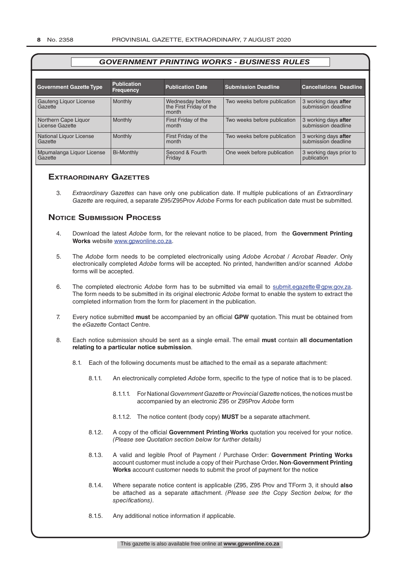| <b>Government Gazette Type</b>          | <b>Publication</b><br><b>Frequency</b> | <b>Publication Date</b>          | <b>Submission Deadline</b>   | <b>Cancellations Deadline</b>               |
|-----------------------------------------|----------------------------------------|----------------------------------|------------------------------|---------------------------------------------|
| Gauteng Liquor License                  | <b>Monthly</b>                         | Wednesday before                 | Two weeks before publication | 3 working days after                        |
| Gazette                                 |                                        | the First Friday of the<br>month |                              | submission deadline                         |
| Northern Cape Liquor<br>License Gazette | <b>Monthly</b>                         | First Friday of the<br>month     | Two weeks before publication | 3 working days after<br>submission deadline |
| National Liquor License<br>Gazette      | <b>Monthly</b>                         | First Friday of the<br>month     | Two weeks before publication | 3 working days after<br>submission deadline |
| Mpumalanga Liquor License<br>Gazette    | <b>Bi-Monthly</b>                      | Second & Fourth<br>Friday        | One week before publication  | 3 working days prior to<br>publication      |

#### **exTrAordinAry gAzeTTes**

3. *Extraordinary Gazettes* can have only one publication date. If multiple publications of an *Extraordinary Gazette* are required, a separate Z95/Z95Prov *Adobe* Forms for each publication date must be submitted.

#### **NOTICE SUBMISSION PROCESS**

- 4. Download the latest *Adobe* form, for the relevant notice to be placed, from the **Government Printing Works** website www.gpwonline.co.za.
- 5. The *Adobe* form needs to be completed electronically using *Adobe Acrobat* / *Acrobat Reader*. Only electronically completed *Adobe* forms will be accepted. No printed, handwritten and/or scanned *Adobe* forms will be accepted.
- 6. The completed electronic *Adobe* form has to be submitted via email to submit.egazette@gpw.gov.za. The form needs to be submitted in its original electronic *Adobe* format to enable the system to extract the completed information from the form for placement in the publication.
- 7. Every notice submitted **must** be accompanied by an official **GPW** quotation. This must be obtained from the *eGazette* Contact Centre.
- 8. Each notice submission should be sent as a single email. The email **must** contain **all documentation relating to a particular notice submission**.
	- 8.1. Each of the following documents must be attached to the email as a separate attachment:
		- 8.1.1. An electronically completed *Adobe* form, specific to the type of notice that is to be placed.
			- 8.1.1.1. For National *Government Gazette* or *Provincial Gazette* notices, the notices must be accompanied by an electronic Z95 or Z95Prov *Adobe* form
			- 8.1.1.2. The notice content (body copy) **MUST** be a separate attachment.
		- 8.1.2. A copy of the official **Government Printing Works** quotation you received for your notice. *(Please see Quotation section below for further details)*
		- 8.1.3. A valid and legible Proof of Payment / Purchase Order: **Government Printing Works** account customer must include a copy of their Purchase Order*.* **Non**-**Government Printing Works** account customer needs to submit the proof of payment for the notice
		- 8.1.4. Where separate notice content is applicable (Z95, Z95 Prov and TForm 3, it should **also** be attached as a separate attachment. *(Please see the Copy Section below, for the specifications)*.
		- 8.1.5. Any additional notice information if applicable.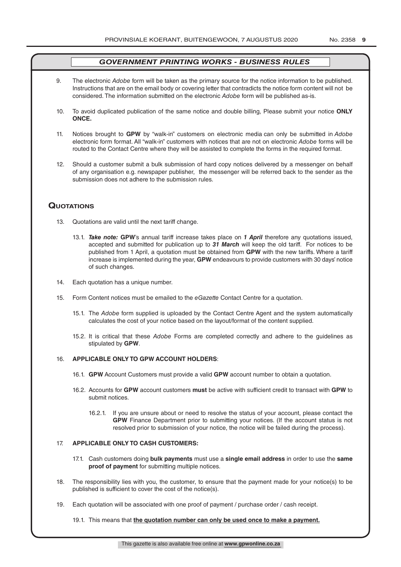- 9. The electronic *Adobe* form will be taken as the primary source for the notice information to be published. Instructions that are on the email body or covering letter that contradicts the notice form content will not be considered. The information submitted on the electronic *Adobe* form will be published as-is.
- 10. To avoid duplicated publication of the same notice and double billing, Please submit your notice **ONLY ONCE.**
- 11. Notices brought to **GPW** by "walk-in" customers on electronic media can only be submitted in *Adobe* electronic form format. All "walk-in" customers with notices that are not on electronic *Adobe* forms will be routed to the Contact Centre where they will be assisted to complete the forms in the required format.
- 12. Should a customer submit a bulk submission of hard copy notices delivered by a messenger on behalf of any organisation e.g. newspaper publisher, the messenger will be referred back to the sender as the submission does not adhere to the submission rules.

#### **QuoTATions**

- 13. Quotations are valid until the next tariff change.
	- 13.1. *Take note:* **GPW**'s annual tariff increase takes place on *1 April* therefore any quotations issued, accepted and submitted for publication up to *31 March* will keep the old tariff. For notices to be published from 1 April, a quotation must be obtained from **GPW** with the new tariffs. Where a tariff increase is implemented during the year, **GPW** endeavours to provide customers with 30 days' notice of such changes.
- 14. Each quotation has a unique number.
- 15. Form Content notices must be emailed to the *eGazette* Contact Centre for a quotation.
	- 15.1. The *Adobe* form supplied is uploaded by the Contact Centre Agent and the system automatically calculates the cost of your notice based on the layout/format of the content supplied.
	- 15.2. It is critical that these *Adobe* Forms are completed correctly and adhere to the guidelines as stipulated by **GPW**.

#### 16. **APPLICABLE ONLY TO GPW ACCOUNT HOLDERS**:

- 16.1. **GPW** Account Customers must provide a valid **GPW** account number to obtain a quotation.
- 16.2. Accounts for **GPW** account customers **must** be active with sufficient credit to transact with **GPW** to submit notices.
	- 16.2.1. If you are unsure about or need to resolve the status of your account, please contact the **GPW** Finance Department prior to submitting your notices. (If the account status is not resolved prior to submission of your notice, the notice will be failed during the process).

#### 17. **APPLICABLE ONLY TO CASH CUSTOMERS:**

- 17.1. Cash customers doing **bulk payments** must use a **single email address** in order to use the **same proof of payment** for submitting multiple notices.
- 18. The responsibility lies with you, the customer, to ensure that the payment made for your notice(s) to be published is sufficient to cover the cost of the notice(s).
- 19. Each quotation will be associated with one proof of payment / purchase order / cash receipt.

#### 19.1. This means that **the quotation number can only be used once to make a payment.**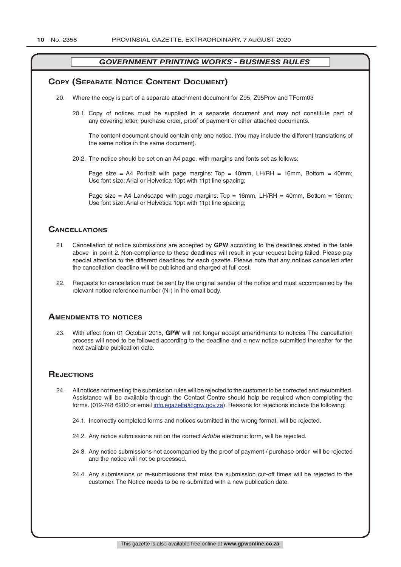#### **COPY (SEPARATE NOTICE CONTENT DOCUMENT)**

- 20. Where the copy is part of a separate attachment document for Z95, Z95Prov and TForm03
	- 20.1. Copy of notices must be supplied in a separate document and may not constitute part of any covering letter, purchase order, proof of payment or other attached documents.

The content document should contain only one notice. (You may include the different translations of the same notice in the same document).

20.2. The notice should be set on an A4 page, with margins and fonts set as follows:

Page size = A4 Portrait with page margins: Top = 40mm, LH/RH = 16mm, Bottom = 40mm; Use font size: Arial or Helvetica 10pt with 11pt line spacing;

Page size = A4 Landscape with page margins:  $Top = 16mm$ , LH/RH = 40mm, Bottom = 16mm; Use font size: Arial or Helvetica 10pt with 11pt line spacing;

#### **CAnCellATions**

- 21. Cancellation of notice submissions are accepted by **GPW** according to the deadlines stated in the table above in point 2. Non-compliance to these deadlines will result in your request being failed. Please pay special attention to the different deadlines for each gazette. Please note that any notices cancelled after the cancellation deadline will be published and charged at full cost.
- 22. Requests for cancellation must be sent by the original sender of the notice and must accompanied by the relevant notice reference number (N-) in the email body.

#### **AmendmenTs To noTiCes**

23. With effect from 01 October 2015, **GPW** will not longer accept amendments to notices. The cancellation process will need to be followed according to the deadline and a new notice submitted thereafter for the next available publication date.

#### **REJECTIONS**

- 24. All notices not meeting the submission rules will be rejected to the customer to be corrected and resubmitted. Assistance will be available through the Contact Centre should help be required when completing the forms. (012-748 6200 or email info.egazette@gpw.gov.za). Reasons for rejections include the following:
	- 24.1. Incorrectly completed forms and notices submitted in the wrong format, will be rejected.
	- 24.2. Any notice submissions not on the correct *Adobe* electronic form, will be rejected.
	- 24.3. Any notice submissions not accompanied by the proof of payment / purchase order will be rejected and the notice will not be processed.
	- 24.4. Any submissions or re-submissions that miss the submission cut-off times will be rejected to the customer. The Notice needs to be re-submitted with a new publication date.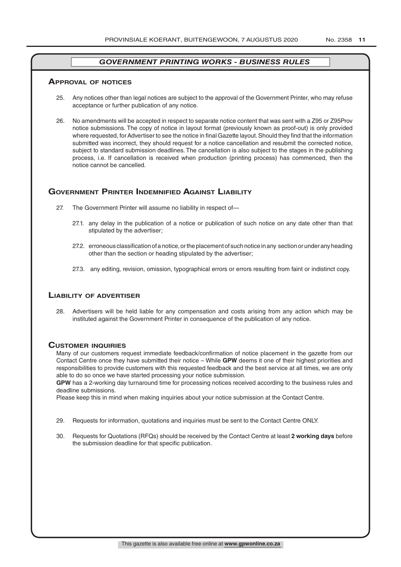#### **ApprovAl of noTiCes**

- 25. Any notices other than legal notices are subject to the approval of the Government Printer, who may refuse acceptance or further publication of any notice.
- 26. No amendments will be accepted in respect to separate notice content that was sent with a Z95 or Z95Prov notice submissions. The copy of notice in layout format (previously known as proof-out) is only provided where requested, for Advertiser to see the notice in final Gazette layout. Should they find that the information submitted was incorrect, they should request for a notice cancellation and resubmit the corrected notice, subject to standard submission deadlines. The cancellation is also subject to the stages in the publishing process, i.e. If cancellation is received when production (printing process) has commenced, then the notice cannot be cancelled.

### **governmenT prinTer indemnified AgAinsT liAbiliTy**

- 27. The Government Printer will assume no liability in respect of—
	- 27.1. any delay in the publication of a notice or publication of such notice on any date other than that stipulated by the advertiser;
	- 27.2. erroneous classification of a notice, or the placement of such notice in any section or under any heading other than the section or heading stipulated by the advertiser;
	- 27.3. any editing, revision, omission, typographical errors or errors resulting from faint or indistinct copy.

#### **liAbiliTy of AdverTiser**

28. Advertisers will be held liable for any compensation and costs arising from any action which may be instituted against the Government Printer in consequence of the publication of any notice.

#### **CusTomer inQuiries**

Many of our customers request immediate feedback/confirmation of notice placement in the gazette from our Contact Centre once they have submitted their notice – While **GPW** deems it one of their highest priorities and responsibilities to provide customers with this requested feedback and the best service at all times, we are only able to do so once we have started processing your notice submission.

**GPW** has a 2-working day turnaround time for processing notices received according to the business rules and deadline submissions.

Please keep this in mind when making inquiries about your notice submission at the Contact Centre.

- 29. Requests for information, quotations and inquiries must be sent to the Contact Centre ONLY.
- 30. Requests for Quotations (RFQs) should be received by the Contact Centre at least **2 working days** before the submission deadline for that specific publication.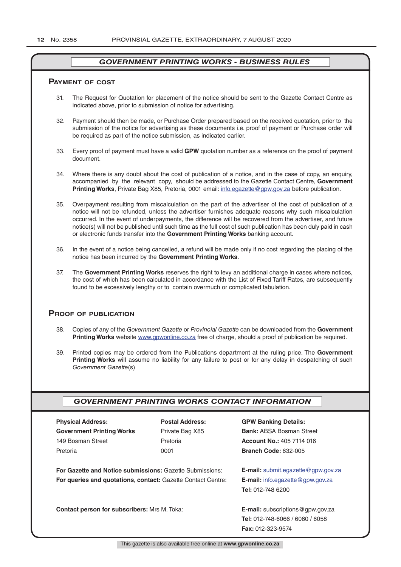#### **pAymenT of CosT**

- 31. The Request for Quotation for placement of the notice should be sent to the Gazette Contact Centre as indicated above, prior to submission of notice for advertising.
- 32. Payment should then be made, or Purchase Order prepared based on the received quotation, prior to the submission of the notice for advertising as these documents i.e. proof of payment or Purchase order will be required as part of the notice submission, as indicated earlier.
- 33. Every proof of payment must have a valid **GPW** quotation number as a reference on the proof of payment document.
- 34. Where there is any doubt about the cost of publication of a notice, and in the case of copy, an enquiry, accompanied by the relevant copy, should be addressed to the Gazette Contact Centre, **Government Printing Works**, Private Bag X85, Pretoria, 0001 email: info.egazette@gpw.gov.za before publication.
- 35. Overpayment resulting from miscalculation on the part of the advertiser of the cost of publication of a notice will not be refunded, unless the advertiser furnishes adequate reasons why such miscalculation occurred. In the event of underpayments, the difference will be recovered from the advertiser, and future notice(s) will not be published until such time as the full cost of such publication has been duly paid in cash or electronic funds transfer into the **Government Printing Works** banking account.
- 36. In the event of a notice being cancelled, a refund will be made only if no cost regarding the placing of the notice has been incurred by the **Government Printing Works**.
- 37. The **Government Printing Works** reserves the right to levy an additional charge in cases where notices, the cost of which has been calculated in accordance with the List of Fixed Tariff Rates, are subsequently found to be excessively lengthy or to contain overmuch or complicated tabulation.

#### **proof of publiCATion**

- 38. Copies of any of the *Government Gazette* or *Provincial Gazette* can be downloaded from the **Government Printing Works** website www.gpwonline.co.za free of charge, should a proof of publication be required.
- 39. Printed copies may be ordered from the Publications department at the ruling price. The **Government Printing Works** will assume no liability for any failure to post or for any delay in despatching of such *Government Gazette*(s)

#### *GOVERNMENT PRINTING WORKS CONTACT INFORMATION*

| <b>PRYSICAL AQUIPSS:</b>         |  |  |
|----------------------------------|--|--|
| <b>Government Printing Works</b> |  |  |
| 149 Bosman Street                |  |  |
| Pretoria                         |  |  |

**Physical Address: Postal Address: GPW Banking Details:**

Private Bag X85 **Bank:** ABSA Bosman Street 149 Bosman Street Pretoria **Account No.:** 405 7114 016 Pretoria 0001 **Branch Code:** 632-005

**For Gazette and Notice submissions:** Gazette Submissions: **E-mail:** submit.egazette@gpw.gov.za **For queries and quotations, contact:** Gazette Contact Centre: **E-mail:** info.egazette@gpw.gov.za

**Tel:** 012-748 6200

**Contact person for subscribers:** Mrs M. Toka: **E-mail:** subscriptions@gpw.gov.za **Tel:** 012-748-6066 / 6060 / 6058 **Fax:** 012-323-9574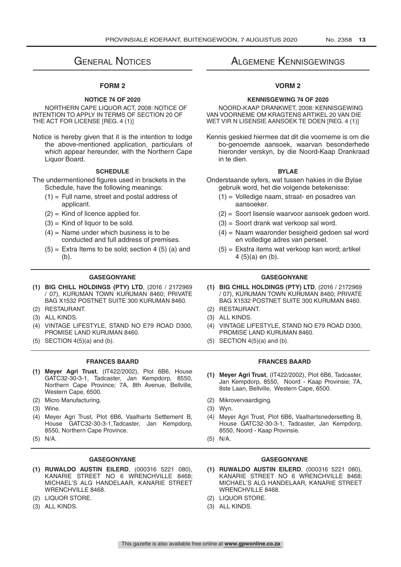# **GENERAL NOTICES**

#### **FORM 2**

#### **NOTICE 74 OF 2020**

NORTHERN CAPE LIQUOR ACT, 2008: NOTICE OF INTENTION TO APPLY IN TERMS OF SECTION 20 OF THE ACT FOR LICENSE [REG. 4 (1)]

Notice is hereby given that it is the intention to lodge the above-mentioned application, particulars of which appear hereunder, with the Northern Cape Liquor Board.

#### **SCHEDULE**

The undermentioned figures used in brackets in the Schedule, have the following meanings:

- $(1)$  = Full name, street and postal address of applicant.
- $(2)$  = Kind of licence applied for.
- $(3)$  = Kind of liquor to be sold.
- $(4)$  = Name under which business is to be conducted and full address of premises.
- $(5)$  = Extra Items to be sold; section 4 (5) (a) and (b).

- **(1) BIG CHILL HOLDINGS (PTY) LTD**, (2016 / 2172969 / 07), KURUMAN TOWN KURUMAN 8460; PRIVATE BAG X1532 POSTNET SUITE 300 KURUMAN 8460.
- 
- 
- (4) VINTAGE LIFESTYLE, STAND NO E79 ROAD D300, PROMISE LAND KURUMAN 8460.
- 

#### **FRANCES BAARD FRANCES BAARD**

- **(1) Meyer Agri Trust**, (IT422/2002), Plot 6B6, House GATC32-30-3-1, Tadcaster, Jan Kempdorp, 8550, Northern Cape Province; 7A, 8th Avenue, Bellville, Western Cape, 6500.
- 
- (3) Wine. (3) Wyn.
- (4) Meyer Agri Trust, Plot 6B6, Vaalharts Settlement B, House GATC32-30-3-1,Tadcaster, Jan Kempdorp, 8550, Northern Cape Province.
- 

#### **GASEGONYANE GASEGONYANE**

- **(1) RUWALDO AUSTIN EILERD**, (000316 5221 080), KANARIE STREET NO 6 WRENCHVILLE 8468; MICHAEL'S ALG HANDELAAR, KANARIE STREET WRENCHVILLE 8468.
- 
- (3) ALL KINDS. (3) ALL KINDS.

## Algemene Kennisgewings

#### **VORM 2**

#### **KENNISGEWING 74 OF 2020**

NOORD-KAAP DRANKWET, 2008: KENNISGEWING VAN VOORNEME OM KRAGTENS ARTIKEL 20 VAN DIE WET VIR N LISENSIE AANSOEK TE DOEN [REG. 4 (1)]

Kennis geskied hiermee dat dit die voorneme is om die bo-genoemde aansoek, waarvan besonderhede hieronder verskyn, by die Noord-Kaap Drankraad in te dien.

#### **BYLAE**

- Onderstaande syfers, wat tussen hakies in die Bylae gebruik word, het die volgende betekenisse:
	- (1) = Volledige naam, straat- en posadres van aansoeker.
	- (2) = Soort lisensie waarvoor aansoek gedoen word.
	- (3) = Soort drank wat verkoop sal word.
	- (4) = Naam waaronder besigheid gedoen sal word en volledige adres van perseel.
	- (5) = Ekstra items wat verkoop kan word; artikel 4 (5)(a) en (b).

#### **GASEGONYANE GASEGONYANE**

- **(1) BIG CHILL HOLDINGS (PTY) LTD**, (2016 / 2172969 / 07), KURUMAN TOWN KURUMAN 8460; PRIVATE BAG X1532 POSTNET SUITE 300 KURUMAN 8460.
- (2) RESTAURANT. (2) RESTAURANT.
- (3) ALL KINDS. (3) ALL KINDS.
	- (4) VINTAGE LIFESTYLE, STAND NO E79 ROAD D300, PROMISE LAND KURUMAN 8460.
- (5) SECTION  $4(5)(a)$  and (b). (5) SECTION  $4(5)(a)$  and (b).

- **(1) Meyer Agri Trust**, (IT422/2002), Plot 6B6, Tadcaster, Jan Kempdorp, 8550, Noord - Kaap Provinsie; 7A, 8ste Laan, Bellville, Western Cape, 6500.
- (2) Micro Manufacturing. (2) Mikrovervaardiging.
	-
	- (4) Meyer Agri Trust, Plot 6B6, Vaalhartsnedersetting B, House GATC32-30-3-1, Tadcaster, Jan Kempdorp, 8550, Noord - Kaap Provinsie.
- (5) N/A. (5) N/A.

- **(1) RUWALDO AUSTIN EILERD**, (000316 5221 080), KANARIE STREET NO 6 WRENCHVILLE 8468: MICHAEL'S ALG HANDELAAR, KANARIE STREET WRENCHVILLE 8468.
- (2) LIQUOR STORE. (2) LIQUOR STORE.
	-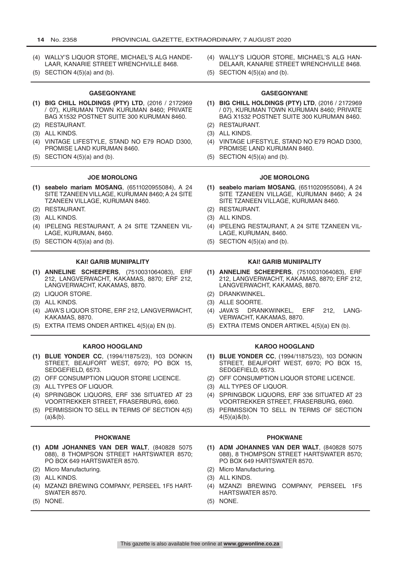- (4) WALLY'S LIQUOR STORE, MICHAEL'S ALG HANDE-LAAR, KANARIE STREET WRENCHVILLE 8468. (4) WALLY'S LIQUOR STORE, MICHAEL'S ALG HAN-DELAAR, KANARIE STREET WRENCHVILLE 8468. (5) SECTION  $4(5)(a)$  and (b). (5) SECTION  $4(5)(a)$  and (b). **GASEGONYANE GASEGONYANE (1) BIG CHILL HOLDINGS (PTY) LTD**, (2016 / 2172969 / 07), KURUMAN TOWN KURUMAN 8460; PRIVATE BAG X1532 POSTNET SUITE 300 KURUMAN 8460. **(1) BIG CHILL HOLDINGS (PTY) LTD**, (2016 / 2172969 / 07), KURUMAN TOWN KURUMAN 8460; PRIVATE BAG X1532 POSTNET SUITE 300 KURUMAN 8460. (2) RESTAURANT. (2) RESTAURANT. (3) ALL KINDS. (3) ALL KINDS. (4) VINTAGE LIFESTYLE, STAND NO E79 ROAD D300, PROMISE LAND KURUMAN 8460. (4) VINTAGE LIFESTYLE, STAND NO E79 ROAD D300, PROMISE LAND KURUMAN 8460. (5) SECTION  $4(5)(a)$  and  $(b)$ . (5) SECTION  $4(5)(a)$  and  $(b)$ . **JOE MOROLONG JOE MOROLONG (1) seabelo mariam MOSANG**, (6511020955084), A 24 SITE TZANEEN VILLAGE, KURUMAN 8460; A 24 SITE TZANEEN VILLAGE, KURUMAN 8460. **(1) seabelo mariam MOSANG**, (6511020955084), A 24 SITE TZANEEN VILLAGE, KURUMAN 8460; A 24 SITE TZANEEN VILLAGE, KURUMAN 8460. (2) RESTAURANT. (2) RESTAURANT. (3) ALL KINDS. (3) ALL KINDS. (4) IPELENG RESTAURANT, A 24 SITE TZANEEN VIL-LAGE, KURUMAN, 8460. (4) IPELENG RESTAURANT, A 24 SITE TZANEEN VIL-LAGE, KURUMAN, 8460. (5) SECTION  $4(5)(a)$  and  $(b)$ . (5) SECTION  $4(5)(a)$  and  $(b)$ . **KAI! GARIB MUNIIPALITY KAI! GARIB MUNIIPALITY (1) ANNELINE SCHEEPERS**, (7510031064083), ERF 212, LANGVERWACHT, KAKAMAS, 8870; ERF 212, LANGVERWACHT, KAKAMAS, 8870. **(1) ANNELINE SCHEEPERS**, (7510031064083), ERF 212, LANGVERWACHT, KAKAMAS, 8870; ERF 212, LANGVERWACHT, KAKAMAS, 8870. (2) LIQUOR STORE. (2) DRANKWINKEL. (3) ALL KINDS. (3) ALLE SOORTE. (4) JAVA'S LIQUOR STORE, ERF 212, LANGVERWACHT, KAKAMAS, 8870. (4) JAVA'S DRANKWINKEL, ERF 212, LANG-VERWACHT, KAKAMAS, 8870. (5) EXTRA ITEMS ONDER ARTIKEL 4(5)(a) EN (b). (5) EXTRA ITEMS ONDER ARTIKEL 4(5)(a) EN (b). **KAROO HOOGLAND KAROO HOOGLAND (1) BLUE YONDER CC**, (1994/11875/23), 103 DONKIN STREET, BEAUFORT WEST, 6970; PO BOX 15, SEDGEFIELD, 6573. **(1) BLUE YONDER CC**, (1994/11875/23), 103 DONKIN STREET, BEAUFORT WEST, 6970; PO BOX 15, SEDGEFIELD, 6573. (2) OFF CONSUMPTION LIQUOR STORE LICENCE. (2) OFF CONSUMPTION LIQUOR STORE LICENCE. (3) ALL TYPES OF LIQUOR. (3) ALL TYPES OF LIQUOR. (4) SPRINGBOK LIQUORS, ERF 336 SITUATED AT 23 VOORTREKKER STREET, FRASERBURG, 6960. (4) SPRINGBOK LIQUORS, ERF 336 SITUATED AT 23 VOORTREKKER STREET, FRASERBURG, 6960. (5) PERMISSION TO SELL IN TERMS OF SECTION 4(5)  $(a)$ & $(b)$ . (5) PERMISSION TO SELL IN TERMS OF SECTION  $4(5)(a)$ &(b). **PHOKWANE PHOKWANE (1) ADM JOHANNES VAN DER WALT**, (840828 5075 088), 8 THOMPSON STREET HARTSWATER 8570; PO BOX 649 HARTSWATER 8570. **(1) ADM JOHANNES VAN DER WALT**, (840828 5075 088), 8 THOMPSON STREET HARTSWATER 8570; PO BOX 649 HARTSWATER 8570. (2) Micro Manufacturing. (2) Micro Manufacturing. (3) ALL KINDS. (3) ALL KINDS. (4) MZANZI BREWING COMPANY, PERSEEL 1F5 HART-SWATER 8570. (4) MZANZI BREWING COMPANY, PERSEEL 1F5
- (5) NONE. (5) NONE.
- HARTSWATER 8570.
	-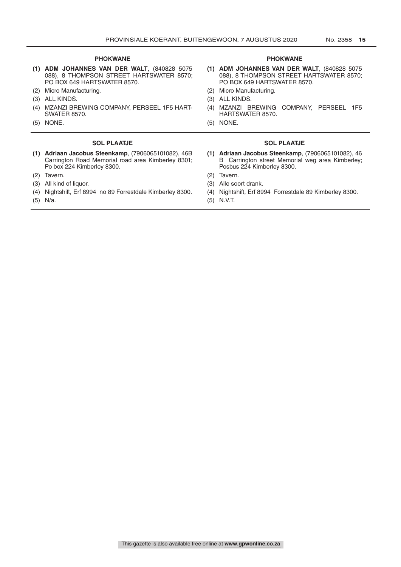- **(1) ADM JOHANNES VAN DER WALT**, (840828 5075 088), 8 THOMPSON STREET HARTSWATER 8570; PO BOX 649 HARTSWATER 8570.
- (2) Micro Manufacturing. (2) Micro Manufacturing.
- (3) ALL KINDS. (3) ALL KINDS.
- (4) MZANZI BREWING COMPANY, PERSEEL 1F5 HART-SWATER 8570.
- 

#### **SOL PLAATJE SOL PLAATJE**

- **(1) Adriaan Jacobus Steenkamp**, (7906065101082), 46B Carrington Road Memorial road area Kimberley 8301; Po box 224 Kimberley 8300.
- 
- (3) All kind of liquor. (3) Alle soort drank.
- (4) Nightshift, Erf 8994 no 89 Forrestdale Kimberley 8300. (4) Nightshift, Erf 8994 Forrestdale 89 Kimberley 8300.
- 

#### **PHOKWANE PHOKWANE**

- **(1) ADM JOHANNES VAN DER WALT**, (840828 5075 088), 8 THOMPSON STREET HARTSWATER 8570; PO BOX 649 HARTSWATER 8570.
- 
- 
- (4) MZANZI BREWING COMPANY, PERSEEL 1F5 HARTSWATER 8570.
- (5) NONE. (5) NONE.

- **(1) Adriaan Jacobus Steenkamp**, (7906065101082), 46 B Carrington street Memorial weg area Kimberley; Posbus 224 Kimberley 8300.
- (2) Tavern. (2) Tavern.
	-
	-
- (5) N/a. (5) N.V.T.